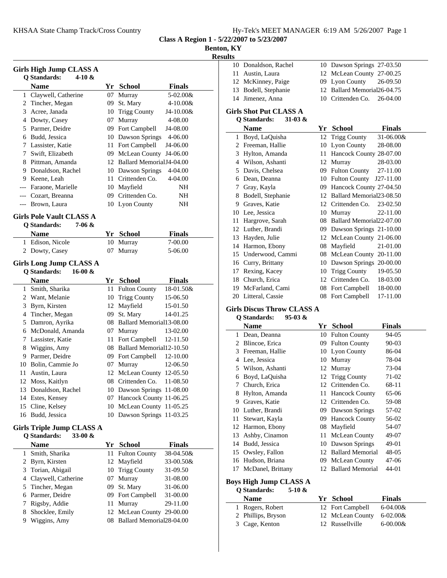**Class A Region 1 - 5/22/2007 to 5/23/2007**

## **Benton, KY**

**Results**

|                | Girls High Jump CLASS A<br><b>Q</b> Standards:<br>4-10 $\&$ |    |                              |               |
|----------------|-------------------------------------------------------------|----|------------------------------|---------------|
|                | <b>Name</b>                                                 |    | Yr School                    | <b>Finals</b> |
| 1              | Claywell, Catherine                                         | 07 | Murray                       | 5-02.00&      |
| 2              | Tincher, Megan                                              | 09 | St. Mary                     | 4-10.00&      |
| 3              | Acree, Janada                                               | 10 | <b>Trigg County</b>          | J4-10.00&     |
|                | 4 Dowty, Casey                                              | 07 | Murray                       | 4-08.00       |
|                | 5 Parmer, Deidre                                            |    | 09 Fort Campbell             | J4-08.00      |
|                | 6 Budd, Jessica                                             |    | 10 Dawson Springs            | 4-06.00       |
|                | 7 Lassister, Katie                                          |    | 11 Fort Campbell             | J4-06.00      |
| 7              | Swift, Elizabeth                                            |    | 09 McLean County             | J4-06.00      |
|                | 8 Pittman, Amanda                                           |    | 12 Ballard Memorial J4-04.00 |               |
| 9              | Donaldson, Rachel                                           |    | 10 Dawson Springs            | 4-04.00       |
|                | 9 Keene, Leah                                               |    | 11 Crittenden Co.            | 4-04.00       |
|                | --- Faraone, Marielle                                       | 10 | Mayfield                     | NH            |
|                | --- Cozart, Breanna                                         | 09 | Crittenden Co.               | NH            |
| ---            | Brown, Laura                                                |    | 10 Lyon County               | NΗ            |
|                | <b>Girls Pole Vault CLASS A</b>                             |    |                              |               |
|                | Q Standards:<br>7-06 &                                      |    |                              |               |
|                | <b>Name</b>                                                 |    | Yr School                    | <b>Finals</b> |
|                | 1 Edison, Nicole                                            | 10 | Murray                       | 7-00.00       |
|                | 2 Dowty, Casey                                              | 07 | Murray                       | 5-06.00       |
|                |                                                             |    |                              |               |
|                | <b>Girls Long Jump CLASS A</b>                              |    |                              |               |
|                | <b>Q</b> Standards:<br>$16-00 &$                            |    |                              |               |
|                | <b>Name</b>                                                 |    | Yr School                    | <b>Finals</b> |
| 1              | Smith, Sharika                                              | 11 | <b>Fulton County</b>         | 18-01.50&     |
| 2              | Want, Melanie                                               | 10 | <b>Trigg County</b>          | 15-06.50      |
| 3              | Byrn, Kirsten                                               | 12 | Mayfield                     | 15-01.50      |
| 4              | Tincher, Megan                                              | 09 | St. Mary                     | 14-01.25      |
| 5              | Damron, Ayrika                                              |    | 08 Ballard Memorial13-08.00  |               |
| 6              | McDonald, Amanda                                            |    | 07 Murray                    | 13-02.00      |
| 7              | Lassister, Katie                                            | 11 | Fort Campbell                | 12-11.50      |
| 8              | Wiggins, Amy                                                |    | 08 Ballard Memorial12-10.50  |               |
|                | 9 Parmer, Deidre                                            |    | 09 Fort Campbell             | 12-10.00      |
|                | 10 Bolin, Cammie Jo                                         |    | 07 Murray                    | 12-06.50      |
| 11             | Austin, Laura                                               | 12 | McLean County                | 12-05.50      |
| 12             | Moss, Kaitlyn                                               | 08 | Crittenden Co.               | 11-08.50      |
| 13             | Donaldson, Rachel                                           |    | 10 Dawson Springs 11-08.00   |               |
| 14             | Estes, Kensey                                               | 07 | Hancock County 11-06.25      |               |
| 15             | Cline, Kelsey                                               | 10 | McLean County 11-05.25       |               |
| 16             | Budd, Jessica                                               | 10 | Dawson Springs 11-03.25      |               |
|                | Girls Triple Jump CLASS A                                   |    |                              |               |
|                | <b>Q</b> Standards:<br>33-00 $\&$                           |    |                              |               |
|                | <b>Name</b>                                                 |    |                              |               |
|                |                                                             | Yr | <b>School</b>                | <b>Finals</b> |
| 1              | Smith, Sharika                                              | 11 | <b>Fulton County</b>         | 38-04.50&     |
| 2              | Byrn, Kirsten                                               | 12 | Mayfield                     | 33-00.50&     |
| 3              | Torian, Abigail                                             | 10 | <b>Trigg County</b>          | 31-09.50      |
| $\overline{4}$ | Claywell, Catherine                                         | 07 | Murray                       | 31-08.00      |
| 5              | Tincher, Megan                                              | 09 | St. Mary                     | 31-06.00      |
| 6              | Parmer, Deidre                                              | 09 | Fort Campbell                | 31-00.00      |
| 7              | Rigsby, Addie                                               | 11 | Murray                       | 29-11.00      |

8 Shocklee, Emily 12 McLean County 29-00.00 9 Wiggins, Amy 08 Ballard Memorial28-04.00

| 10 | Donaldson, Rachel                 | 10 | Dawson Springs 27-03.50      |               |
|----|-----------------------------------|----|------------------------------|---------------|
|    | 11 Austin, Laura                  |    | 12 McLean County 27-00.25    |               |
|    | 12 McKinney, Paige                |    | 09 Lyon County               | 26-09.50      |
|    | 13 Bodell, Stephanie              | 12 | Ballard Memorial26-04.75     |               |
| 14 | Jimenez, Anna                     |    | 10 Crittenden Co.            | 26-04.00      |
|    | <b>Girls Shot Put CLASS A</b>     |    |                              |               |
|    | <b>O</b> Standards:<br>31-03 $\&$ |    |                              |               |
|    | <b>Name</b>                       | Yr | <b>School</b>                | <b>Finals</b> |
|    | 1 Boyd, LaQuisha                  | 12 | <b>Trigg County</b>          | 31-06.00&     |
|    | 2 Freeman, Hallie                 | 10 | Lyon County                  | 28-08.00      |
|    | 3 Hylton, Amanda                  | 11 | Hancock County 28-07.00      |               |
|    | 4 Wilson, Ashanti                 |    | 12 Murray                    | 28-03.00      |
|    | 5 Davis, Chelsea                  |    | 09 Fulton County             | 27-11.00      |
|    | 6 Dean, Deanna                    |    | 10 Fulton County             | J27-11.00     |
|    | 7 Gray, Kayla                     |    | 09 Hancock County 27-04.50   |               |
|    | 8 Bodell, Stephanie               |    | 12 Ballard Memorial 23-08.50 |               |
|    | 9 Graves, Katie                   |    | 12 Crittenden Co.            | 23-02.50      |
|    | 10 Lee, Jessica                   |    | 10 Murray                    | 22-11.00      |
| 11 | Hargrove, Sarah                   | 08 | Ballard Memorial 22-07.00    |               |
|    | 12 Luther, Brandi                 | 09 | Dawson Springs 21-10.00      |               |
|    | 13 Hayden, Julie                  | 12 | McLean County 21-06.00       |               |
|    | 14 Harmon, Ebony                  | 08 | Mayfield                     | 21-01.00      |
|    | 15 Underwood, Cammi               | 08 | McLean County 20-11.00       |               |
|    | 16 Curry, Brittany                |    | 10 Dawson Springs 20-00.00   |               |
|    | 17 Rexing, Kacey                  |    | 10 Trigg County              | 19-05.50      |
|    | 18 Church, Erica                  |    | 12 Crittenden Co.            | 18-03.00      |
|    | 19 McFarland, Cami                |    | 08 Fort Campbell             | 18-00.00      |
|    | 20 Litteral, Cassie               | 08 | Fort Campbell                | 17-11.00      |
|    | <b>Girls Discus Throw CLASS A</b> |    |                              |               |
|    | $95-03 &$<br><b>O</b> Standards:  |    |                              |               |
|    | <b>Name</b>                       |    | Yr School                    | <b>Finals</b> |
|    | 1 Dean, Deanna                    | 10 | <b>Fulton County</b>         | 94-05         |
|    | 2 Blincoe, Erica                  | 09 | <b>Fulton County</b>         | 90-03         |
|    | 3 Freeman, Hallie                 | 10 | Lyon County                  | 86-04         |
|    | 4 Lee, Jessica                    | 10 | Murray                       | 78-04         |
|    | 5 Wilson, Ashanti                 | 12 | Murray                       | 73-04         |
|    | 6 Boyd, LaQuisha                  | 12 | <b>Trigg County</b>          | 71-02         |
| 7  | Church, Erica                     |    | 12 Crittenden Co.            | 68-11         |
| 8  | Hylton, Amanda                    | 11 | <b>Hancock County</b>        | 65-06         |

|    | гуаніс            | 11  | эспол                   | г шагэ    |
|----|-------------------|-----|-------------------------|-----------|
| 1  | Dean, Deanna      |     | 10 Fulton County        | 94-05     |
| 2. | Blincoe, Erica    |     | 09 Fulton County        | $90 - 03$ |
| 3  | Freeman, Hallie   |     | 10 Lyon County          | 86-04     |
| 4  | Lee, Jessica      |     | 10 Murray               | 78-04     |
| 5. | Wilson, Ashanti   |     | 12 Murray               | 73-04     |
| 6  | Boyd, LaQuisha    |     | 12 Trigg County         | 71-02     |
| 7  | Church, Erica     |     | 12 Crittenden Co.       | 68-11     |
| 8  | Hylton, Amanda    | 11  | <b>Hancock County</b>   | 65-06     |
| 9  | Graves, Katie     |     | 12 Crittenden Co.       | 59-08     |
| 10 | Luther, Brandi    |     | 09 Dawson Springs       | 57-02     |
| 11 | Stewart, Kayla    |     | 09 Hancock County       | 56-02     |
| 12 | Harmon, Ebony     | 08  | Mayfield                | 54-07     |
| 13 | Ashby, Cinamon    | 11. | <b>McLean County</b>    | 49-07     |
| 14 | Budd, Jessica     |     | 10 Dawson Springs       | 49-01     |
|    | 15 Owsley, Fallon | 12  | <b>Ballard Memorial</b> | 48-05     |
| 16 | Hudson, Briana    | 09. | McLean County           | 47-06     |
| 17 | McDanel, Brittany | 12  | <b>Ballard Memorial</b> | 44-01     |

### **Boys High Jump CLASS A Q Standards: 5-10 &**

| <b>Name</b>        | Yr School        | <b>Finals</b>  |
|--------------------|------------------|----------------|
| 1 Rogers, Robert   | 12 Fort Campbell | $6-04.00&$     |
| 2 Phillips, Bryson | 12 McLean County | $6 - 02.00 \&$ |
| 3 Cage, Kenton     | 12 Russellville  | $6 - 00.00 &$  |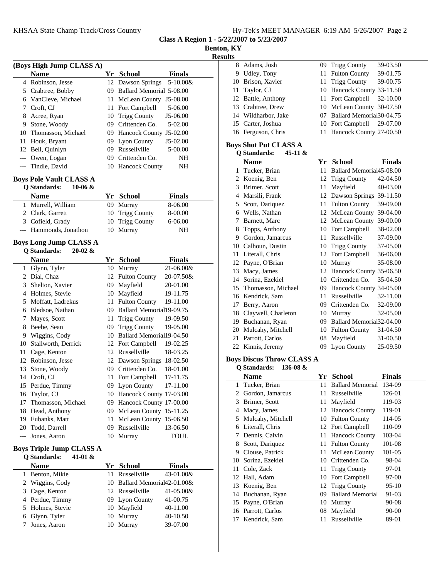**Class A Region 1 - 5/22/2007 to 5/23/2007**

**Benton, KY**

**Results**

|       | (Boys High Jump CLASS A)                                           |    |                            |               |
|-------|--------------------------------------------------------------------|----|----------------------------|---------------|
|       | <b>Name</b>                                                        |    | Yr School                  | <b>Finals</b> |
|       | 4 Robinson, Jesse                                                  | 12 | Dawson Springs             | 5-10.00&      |
|       | 5 Crabtree, Bobby                                                  | 09 | Ballard Memorial 5-08.00   |               |
|       | 6 VanCleve, Michael                                                | 11 | McLean County              | J5-08.00      |
| 7     | Croft, CJ                                                          | 11 | Fort Campbell              | 5-06.00       |
| 8     | Acree, Ryan                                                        | 10 | <b>Trigg County</b>        | J5-06.00      |
| 9.    | Stone, Woody                                                       | 09 | Crittenden Co.             | 5-02.00       |
|       | 10 Thomasson, Michael                                              | 09 | Hancock County J5-02.00    |               |
| 11    | Houk, Bryant                                                       | 09 | Lyon County                | J5-02.00      |
| 12    | Bell, Quinlyn                                                      | 09 | Russellville               | 5-00.00       |
| $---$ | Owen, Logan                                                        | 09 | Crittenden Co.             | NΗ            |
| ---   | Tindle, David                                                      | 10 | <b>Hancock County</b>      | NΗ            |
|       |                                                                    |    |                            |               |
|       | <b>Boys Pole Vault CLASS A</b><br><b>Q</b> Standards:<br>$10-06 &$ |    |                            |               |
|       | <b>Name</b>                                                        |    | Yr School                  | <b>Finals</b> |
|       | 1 Murrell, William                                                 | 09 | Murray                     | 8-06.00       |
|       | 2 Clark, Garrett                                                   | 10 | <b>Trigg County</b>        | 8-00.00       |
|       | 3 Cofield, Grady                                                   | 10 | <b>Trigg County</b>        | 6-06.00       |
|       | Hammonds, Jonathon                                                 | 10 | Murray                     | NΗ            |
| $---$ |                                                                    |    |                            |               |
|       | <b>Boys Long Jump CLASS A</b>                                      |    |                            |               |
|       | <b>Q</b> Standards:<br>$20-02 &$                                   |    |                            |               |
|       | <b>Name</b>                                                        |    | Yr School                  | <b>Finals</b> |
|       | 1 Glynn, Tyler                                                     | 10 | Murray                     | 21-06.00&     |
|       | 2 Dial, Chaz                                                       | 12 | <b>Fulton County</b>       | 20-07.50&     |
|       | 3 Shelton, Xavier                                                  | 09 | Mayfield                   | 20-01.00      |
|       | 4 Holmes, Stevie                                                   | 10 | Mayfield                   | 19-11.75      |
|       | 5 Moffatt, Ladrekus                                                | 11 | <b>Fulton County</b>       | 19-11.00      |
|       | 6 Bledsoe, Nathan                                                  | 09 | Ballard Memorial19-09.75   |               |
| 7     | Mayes, Scott                                                       | 11 | <b>Trigg County</b>        | 19-09.50      |
| 8     | Beebe, Sean                                                        | 09 | <b>Trigg County</b>        | 19-05.00      |
|       | 9 Wiggins, Cody                                                    | 10 | Ballard Memorial19-04.50   |               |
| 10    | Stallworth, Derrick                                                | 12 | Fort Campbell              | 19-02.25      |
| 11    | Cage, Kenton                                                       | 12 | Russellville               | 18-03.25      |
| 12    | Robinson, Jesse                                                    | 12 | Dawson Springs             | 18-02.50      |
| 13    | Stone, Woody                                                       | 09 | Crittenden Co.             | 18-01.00      |
|       | 14 Croft, CJ                                                       | 11 | Fort Campbell              | 17-11.75      |
|       | 15 Perdue, Timmy                                                   |    | 09 Lyon County 17-11.00    |               |
|       | 16 Taylor, CJ                                                      |    | 10 Hancock County 17-03.00 |               |
| 17    | Thomasson, Michael                                                 |    | 09 Hancock County 17-00.00 |               |
|       | 18 Head, Anthony                                                   | 09 | McLean County 15-11.25     |               |
|       | 19 Eubanks, Matt                                                   | 11 | McLean County 15-06.50     |               |
|       | 20 Todd, Darrell                                                   | 09 | Russellville               | 13-06.50      |
| ---   | Jones, Aaron                                                       | 10 | Murray                     | ${\bf FOUL}$  |
|       | <b>Boys Triple Jump CLASS A</b>                                    |    |                            |               |
|       | <b>Q</b> Standards:<br>41-01 &                                     |    |                            |               |
|       | <b>Name</b>                                                        |    | Yr School                  | <b>Finals</b> |
|       | 1 Benton, Mikie                                                    | 11 | Russellville               | 43-01.00&     |
|       | 2 Wiggins, Cody                                                    | 10 | Ballard Memorial42-01.00&  |               |
|       | 3 Cage, Kenton                                                     | 12 | Russellville               | 41-05.00&     |
|       | 4 Perdue, Timmy                                                    | 09 | Lyon County                | 41-00.75      |
|       | 5 Holmes, Stevie                                                   | 10 | Mayfield                   | 40-11.00      |
|       | 6 Glynn, Tyler                                                     | 10 | Murray                     | 40-10.50      |
| 7     | Jones, Aaron                                                       | 10 | Murray                     | 39-07.00      |
|       |                                                                    |    |                            |               |

| 8              | Adams, Josh                      | 09 | <b>Trigg County</b>        | 39-03.50      |
|----------------|----------------------------------|----|----------------------------|---------------|
| 9              | Udley, Tony                      | 11 | <b>Fulton County</b>       | 39-01.75      |
| 10             | Brison, Xavier                   | 11 | <b>Trigg County</b>        | 39-00.75      |
| 11             | Taylor, CJ                       | 10 | Hancock County 33-11.50    |               |
| 12             | Battle, Anthony                  | 11 | Fort Campbell              | 32-10.00      |
| 13             | Crabtree, Drew                   | 10 | McLean County 30-07.50     |               |
| 14             | Wildharbor, Jake                 | 07 | Ballard Memorial30-04.75   |               |
| 15             | Carter, Joshua                   |    | 10 Fort Campbell           | 29-07.00      |
| 16             | Ferguson, Chris                  | 11 | Hancock County 27-00.50    |               |
|                | <b>Boys Shot Put CLASS A</b>     |    |                            |               |
|                | <b>Q</b> Standards:<br>45-11 &   |    |                            |               |
|                | <b>Name</b>                      | Yr | <b>School</b>              | <b>Finals</b> |
| 1              | Tucker, Brian                    | 11 | Ballard Memorial45-08.00   |               |
| $\overline{c}$ | Koenig, Ben                      | 12 | <b>Trigg County</b>        | 42-04.50      |
| 3              | Brimer, Scott                    | 11 | Mayfield                   | 40-03.00      |
| 4              | Marsili, Frank                   | 12 | Dawson Springs             | 39-11.50      |
| 5              | Scott, Dariquez                  | 11 | <b>Fulton County</b>       | 39-09.00      |
| 6              | Wells, Nathan                    |    | 12 McLean County           | 39-04.00      |
| 7              | Barnett, Marc                    |    | 12 McLean County           | 39-00.00      |
| 8              | Topps, Anthony                   | 10 | Fort Campbell              | 38-02.00      |
| 9              | Gordon, Jamarcus                 | 11 | Russellville               | 37-09.00      |
|                | 10 Calhoun, Dustin               |    | 10 Trigg County            | 37-05.00      |
| 11             | Literall, Chris                  |    | 12 Fort Campbell           | 36-06.00      |
| 12             | Payne, O'Brian                   |    | 10 Murray                  | 35-08.00      |
| 13             | Macy, James                      |    | 12 Hancock County 35-06.50 |               |
| 14             | Sorina, Ezekiel                  |    | 10 Crittenden Co.          | 35-04.50      |
| 15             | Thomasson, Michael               | 09 | Hancock County 34-05.00    |               |
| 16             | Kendrick, Sam                    | 11 | Russellville               | 32-11.00      |
| 17             | Berry, Aaron                     |    | 09 Crittenden Co.          | 32-09.00      |
| 18             | Claywell, Charleton              | 10 | Murray                     | 32-05.00      |
| 19             | Buchanan, Ryan                   | 09 | Ballard Memorial32-04.00   |               |
| 20             | Mulcahy, Mitchell                | 10 | <b>Fulton County</b>       | 31-04.50      |
| 21             | Parrott, Carlos                  | 08 | Mayfield                   | 31-00.50      |
| 22             | Kinnis, Jeremy                   | 09 | Lyon County                | 25-09.50      |
|                | <b>Boys Discus Throw CLASS A</b> |    |                            |               |

**Q Standards: 136-08 & Name Finals**<br> **Present School**<br> **Present School**<br> **Present School**<br> **Present School**<br> **Present School**<br> **Present School**<br> **Present School**<br> **Present School**<br> **Present School**<br> **Present School**<br> **Present School** 11 Ballard Memorial 134-09 2 Gordon, Jamarcus 11 Russellville 126-01 3 119-03 Brimer, Scott 11 Mayfield 4 Macy, James 12 Hancock County 119-01 5 Mulcahy, Mitchell 10 Fulton County 114-05 6 110-09 Literall, Chris 12 Fort Campbell 7 Dennis, Calvin 11 Hancock County 103-04 8 Scott, Dariquez 11 Fulton County 101-08 9 Clouse, Patrick 11 McLean County 101-05 10 Sorina, Ezekiel 10 Crittenden Co. 98-04 11 Cole, Zack 11 Trigg County 97-01 12 Hall, Adam 10 Fort Campbell 97-00 13 Koenig, Ben 12 Trigg County 95-10 14 Buchanan, Ryan 09 Ballard Memorial 91-03 15 90-08 Payne, O'Brian 10 Murray 16 90-00 Parrott, Carlos 08 Mayfield 17 Kendrick, Sam 11 Russellville 89-01